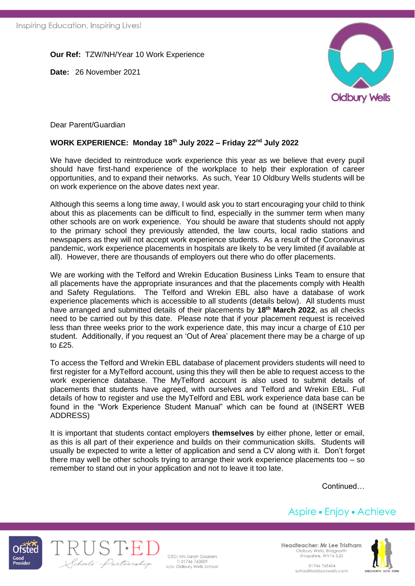**Our Ref:** TZW/NH/Year 10 Work Experience

**Date:** 26 November 2021



Dear Parent/Guardian

## **WORK EXPERIENCE: Monday 18 th July 2022 – Friday 22nd July 2022**

We have decided to reintroduce work experience this year as we believe that every pupil should have first-hand experience of the workplace to help their exploration of career opportunities, and to expand their networks. As such, Year 10 Oldbury Wells students will be on work experience on the above dates next year.

Although this seems a long time away, I would ask you to start encouraging your child to think about this as placements can be difficult to find, especially in the summer term when many other schools are on work experience. You should be aware that students should not apply to the primary school they previously attended, the law courts, local radio stations and newspapers as they will not accept work experience students. As a result of the Coronavirus pandemic, work experience placements in hospitals are likely to be very limited (if available at all). However, there are thousands of employers out there who do offer placements.

We are working with the Telford and Wrekin Education Business Links Team to ensure that all placements have the appropriate insurances and that the placements comply with Health and Safety Regulations. The Telford and Wrekin EBL also have a database of work experience placements which is accessible to all students (details below). All students must have arranged and submitted details of their placements by **18th March 2022**, as all checks need to be carried out by this date. Please note that if your placement request is received less than three weeks prior to the work experience date, this may incur a charge of £10 per student. Additionally, if you request an 'Out of Area' placement there may be a charge of up to £25.

To access the Telford and Wrekin EBL database of placement providers students will need to first register for a MyTelford account, using this they will then be able to request access to the work experience database. The MyTelford account is also used to submit details of placements that students have agreed, with ourselves and Telford and Wrekin EBL. Full details of how to register and use the MyTelford and EBL work experience data base can be found in the "Work Experience Student Manual" which can be found at (INSERT WEB ADDRESS)

It is important that students contact employers **themselves** by either phone, letter or email, as this is all part of their experience and builds on their communication skills. Students will usually be expected to write a letter of application and send a CV along with it. Don't forget there may well be other schools trying to arrange their work experience placements too – so remember to stand out in your application and not to leave it too late.

Continued…

## Aspire • Enjoy • Achieve





CEO: Mrs Sarah Godden T: 01746 760509 c/o: Oldbury Wells School Headteacher: Mr Lee Tristham Oldbury Wells, Bridgnorth Shropshire, WV16 5JD

> 01746765454 school@oldburywells.com